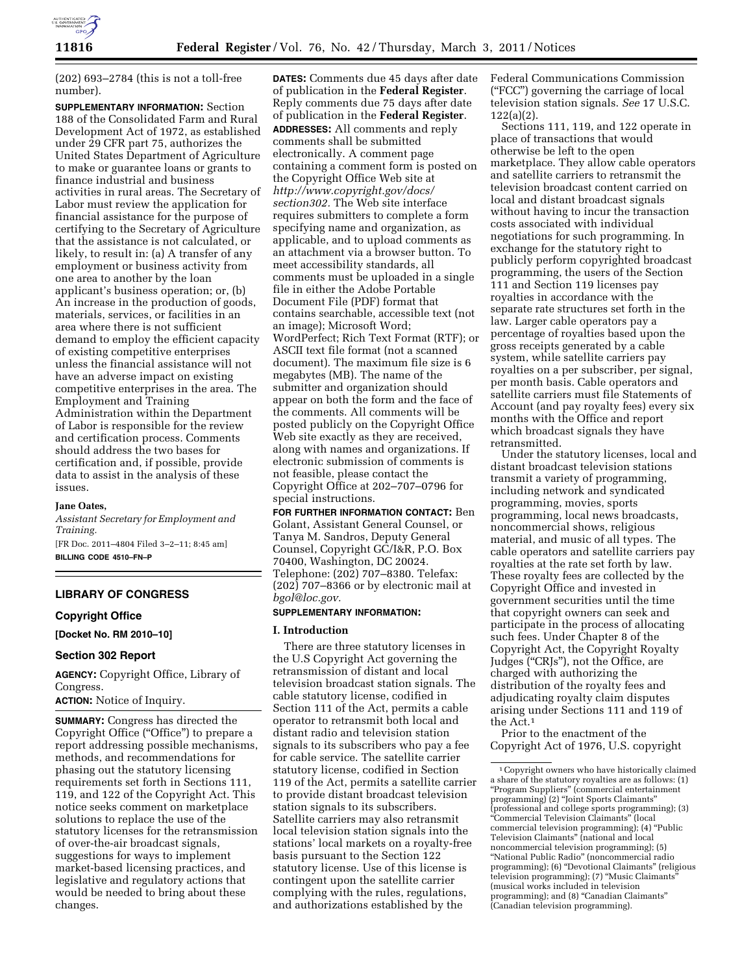

(202) 693–2784 (this is not a toll-free number).

**SUPPLEMENTARY INFORMATION:** Section 188 of the Consolidated Farm and Rural Development Act of 1972, as established under 29 CFR part 75, authorizes the United States Department of Agriculture to make or guarantee loans or grants to finance industrial and business activities in rural areas. The Secretary of Labor must review the application for financial assistance for the purpose of certifying to the Secretary of Agriculture that the assistance is not calculated, or likely, to result in: (a) A transfer of any employment or business activity from one area to another by the loan applicant's business operation; or, (b) An increase in the production of goods, materials, services, or facilities in an area where there is not sufficient demand to employ the efficient capacity of existing competitive enterprises unless the financial assistance will not have an adverse impact on existing competitive enterprises in the area. The Employment and Training Administration within the Department of Labor is responsible for the review and certification process. Comments should address the two bases for certification and, if possible, provide data to assist in the analysis of these issues.

## **Jane Oates,**

*Assistant Secretary for Employment and Training.*  [FR Doc. 2011–4804 Filed 3–2–11; 8:45 am]

**BILLING CODE 4510–FN–P** 

# **LIBRARY OF CONGRESS**

## **Copyright Office**

**[Docket No. RM 2010–10]** 

# **Section 302 Report**

**AGENCY:** Copyright Office, Library of Congress.

**ACTION:** Notice of Inquiry.

**SUMMARY:** Congress has directed the Copyright Office (''Office'') to prepare a report addressing possible mechanisms, methods, and recommendations for phasing out the statutory licensing requirements set forth in Sections 111, 119, and 122 of the Copyright Act. This notice seeks comment on marketplace solutions to replace the use of the statutory licenses for the retransmission of over-the-air broadcast signals, suggestions for ways to implement market-based licensing practices, and legislative and regulatory actions that would be needed to bring about these changes.

**DATES:** Comments due 45 days after date of publication in the **Federal Register**. Reply comments due 75 days after date of publication in the **Federal Register**. **ADDRESSES:** All comments and reply comments shall be submitted electronically. A comment page containing a comment form is posted on the Copyright Office Web site at *[http://www.copyright.gov/docs/](http://www.copyright.gov/docs/section302) [section302.](http://www.copyright.gov/docs/section302)* The Web site interface requires submitters to complete a form specifying name and organization, as applicable, and to upload comments as an attachment via a browser button. To meet accessibility standards, all comments must be uploaded in a single file in either the Adobe Portable Document File (PDF) format that contains searchable, accessible text (not an image); Microsoft Word; WordPerfect; Rich Text Format (RTF); or ASCII text file format (not a scanned document). The maximum file size is 6 megabytes (MB). The name of the submitter and organization should appear on both the form and the face of the comments. All comments will be posted publicly on the Copyright Office Web site exactly as they are received, along with names and organizations. If electronic submission of comments is not feasible, please contact the Copyright Office at 202–707–0796 for special instructions.

**FOR FURTHER INFORMATION CONTACT:** Ben Golant, Assistant General Counsel, or Tanya M. Sandros, Deputy General Counsel, Copyright GC/I&R, P.O. Box 70400, Washington, DC 20024. Telephone: (202) 707–8380. Telefax: (202) 707–8366 or by electronic mail at *[bgol@loc.gov.](mailto:bgol@loc.gov)* 

## **SUPPLEMENTARY INFORMATION:**

#### **I. Introduction**

There are three statutory licenses in the U.S Copyright Act governing the retransmission of distant and local television broadcast station signals. The cable statutory license, codified in Section 111 of the Act, permits a cable operator to retransmit both local and distant radio and television station signals to its subscribers who pay a fee for cable service. The satellite carrier statutory license, codified in Section 119 of the Act, permits a satellite carrier to provide distant broadcast television station signals to its subscribers. Satellite carriers may also retransmit local television station signals into the stations' local markets on a royalty-free basis pursuant to the Section 122 statutory license. Use of this license is contingent upon the satellite carrier complying with the rules, regulations, and authorizations established by the

Federal Communications Commission (''FCC'') governing the carriage of local television station signals. *See* 17 U.S.C. 122(a)(2).

Sections 111, 119, and 122 operate in place of transactions that would otherwise be left to the open marketplace. They allow cable operators and satellite carriers to retransmit the television broadcast content carried on local and distant broadcast signals without having to incur the transaction costs associated with individual negotiations for such programming. In exchange for the statutory right to publicly perform copyrighted broadcast programming, the users of the Section 111 and Section 119 licenses pay royalties in accordance with the separate rate structures set forth in the law. Larger cable operators pay a percentage of royalties based upon the gross receipts generated by a cable system, while satellite carriers pay royalties on a per subscriber, per signal, per month basis. Cable operators and satellite carriers must file Statements of Account (and pay royalty fees) every six months with the Office and report which broadcast signals they have retransmitted.

Under the statutory licenses, local and distant broadcast television stations transmit a variety of programming, including network and syndicated programming, movies, sports programming, local news broadcasts, noncommercial shows, religious material, and music of all types. The cable operators and satellite carriers pay royalties at the rate set forth by law. These royalty fees are collected by the Copyright Office and invested in government securities until the time that copyright owners can seek and participate in the process of allocating such fees. Under Chapter 8 of the Copyright Act, the Copyright Royalty Judges ("CRJs"), not the Office, are charged with authorizing the distribution of the royalty fees and adjudicating royalty claim disputes arising under Sections 111 and 119 of the Act.1

Prior to the enactment of the Copyright Act of 1976, U.S. copyright

<sup>1</sup>Copyright owners who have historically claimed a share of the statutory royalties are as follows: (1) ''Program Suppliers'' (commercial entertainment programming) (2) ''Joint Sports Claimants'' (professional and college sports programming); (3) ''Commercial Television Claimants'' (local commercial television programming); (4) ''Public Television Claimants'' (national and local noncommercial television programming); (5) ''National Public Radio'' (noncommercial radio programming); (6) ''Devotional Claimants'' (religious television programming); (7) ''Music Claimants'' (musical works included in television programming); and (8) ''Canadian Claimants'' (Canadian television programming).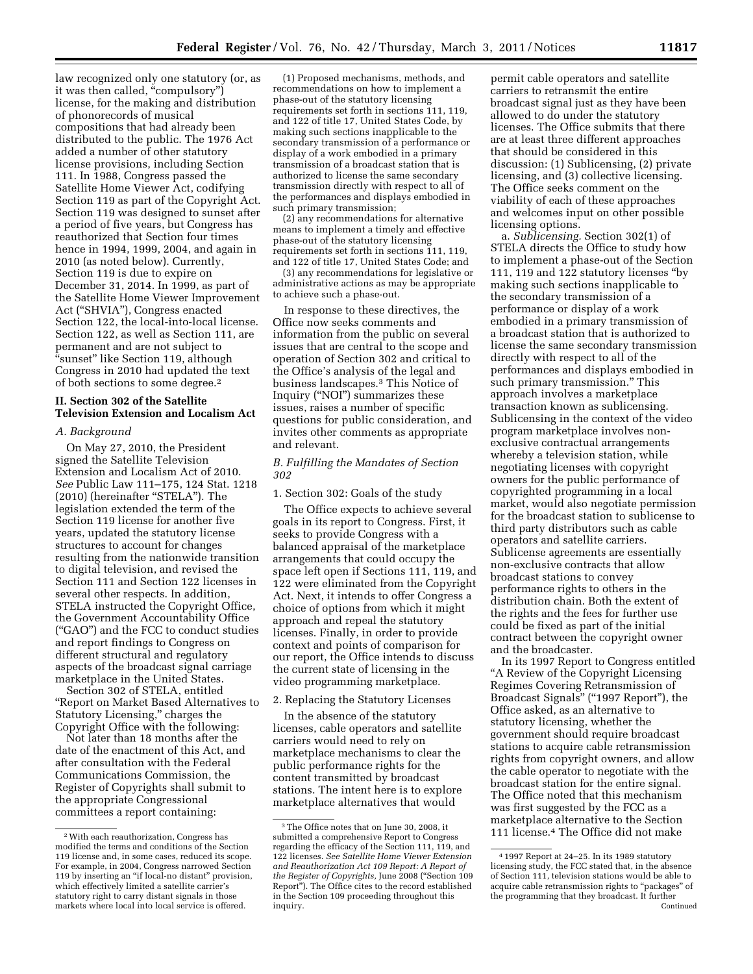law recognized only one statutory (or, as it was then called, "compulsory") license, for the making and distribution of phonorecords of musical compositions that had already been distributed to the public. The 1976 Act added a number of other statutory license provisions, including Section 111. In 1988, Congress passed the Satellite Home Viewer Act, codifying Section 119 as part of the Copyright Act. Section 119 was designed to sunset after a period of five years, but Congress has reauthorized that Section four times hence in 1994, 1999, 2004, and again in 2010 (as noted below). Currently, Section 119 is due to expire on December 31, 2014. In 1999, as part of the Satellite Home Viewer Improvement Act (''SHVIA''), Congress enacted Section 122, the local-into-local license. Section 122, as well as Section 111, are permanent and are not subject to ''sunset'' like Section 119, although Congress in 2010 had updated the text of both sections to some degree.2

# **II. Section 302 of the Satellite Television Extension and Localism Act**

## *A. Background*

On May 27, 2010, the President signed the Satellite Television Extension and Localism Act of 2010. *See* Public Law 111–175, 124 Stat. 1218 (2010) (hereinafter ''STELA''). The legislation extended the term of the Section 119 license for another five years, updated the statutory license structures to account for changes resulting from the nationwide transition to digital television, and revised the Section 111 and Section 122 licenses in several other respects. In addition, STELA instructed the Copyright Office, the Government Accountability Office (''GAO'') and the FCC to conduct studies and report findings to Congress on different structural and regulatory aspects of the broadcast signal carriage marketplace in the United States.

Section 302 of STELA, entitled ''Report on Market Based Alternatives to Statutory Licensing,'' charges the Copyright Office with the following:

Not later than 18 months after the date of the enactment of this Act, and after consultation with the Federal Communications Commission, the Register of Copyrights shall submit to the appropriate Congressional committees a report containing:

(1) Proposed mechanisms, methods, and recommendations on how to implement a phase-out of the statutory licensing requirements set forth in sections 111, 119, and 122 of title 17, United States Code, by making such sections inapplicable to the secondary transmission of a performance or display of a work embodied in a primary transmission of a broadcast station that is authorized to license the same secondary transmission directly with respect to all of the performances and displays embodied in such primary transmission;

(2) any recommendations for alternative means to implement a timely and effective phase-out of the statutory licensing requirements set forth in sections 111, 119, and 122 of title 17, United States Code; and

(3) any recommendations for legislative or administrative actions as may be appropriate to achieve such a phase-out.

In response to these directives, the Office now seeks comments and information from the public on several issues that are central to the scope and operation of Section 302 and critical to the Office's analysis of the legal and business landscapes.3 This Notice of Inquiry (''NOI'') summarizes these issues, raises a number of specific questions for public consideration, and invites other comments as appropriate and relevant.

## *B. Fulfilling the Mandates of Section 302*

1. Section 302: Goals of the study

The Office expects to achieve several goals in its report to Congress. First, it seeks to provide Congress with a balanced appraisal of the marketplace arrangements that could occupy the space left open if Sections 111, 119, and 122 were eliminated from the Copyright Act. Next, it intends to offer Congress a choice of options from which it might approach and repeal the statutory licenses. Finally, in order to provide context and points of comparison for our report, the Office intends to discuss the current state of licensing in the video programming marketplace.

## 2. Replacing the Statutory Licenses

In the absence of the statutory licenses, cable operators and satellite carriers would need to rely on marketplace mechanisms to clear the public performance rights for the content transmitted by broadcast stations. The intent here is to explore marketplace alternatives that would

permit cable operators and satellite carriers to retransmit the entire broadcast signal just as they have been allowed to do under the statutory licenses. The Office submits that there are at least three different approaches that should be considered in this discussion: (1) Sublicensing, (2) private licensing, and (3) collective licensing. The Office seeks comment on the viability of each of these approaches and welcomes input on other possible licensing options.

a. *Sublicensing.* Section 302(1) of STELA directs the Office to study how to implement a phase-out of the Section 111, 119 and 122 statutory licenses ''by making such sections inapplicable to the secondary transmission of a performance or display of a work embodied in a primary transmission of a broadcast station that is authorized to license the same secondary transmission directly with respect to all of the performances and displays embodied in such primary transmission.'' This approach involves a marketplace transaction known as sublicensing. Sublicensing in the context of the video program marketplace involves nonexclusive contractual arrangements whereby a television station, while negotiating licenses with copyright owners for the public performance of copyrighted programming in a local market, would also negotiate permission for the broadcast station to sublicense to third party distributors such as cable operators and satellite carriers. Sublicense agreements are essentially non-exclusive contracts that allow broadcast stations to convey performance rights to others in the distribution chain. Both the extent of the rights and the fees for further use could be fixed as part of the initial contract between the copyright owner and the broadcaster.

In its 1997 Report to Congress entitled "A Review of the Copyright Licensing Regimes Covering Retransmission of Broadcast Signals" ("1997 Report"), the Office asked, as an alternative to statutory licensing, whether the government should require broadcast stations to acquire cable retransmission rights from copyright owners, and allow the cable operator to negotiate with the broadcast station for the entire signal. The Office noted that this mechanism was first suggested by the FCC as a marketplace alternative to the Section 111 license.4 The Office did not make

<sup>2</sup>With each reauthorization, Congress has modified the terms and conditions of the Section 119 license and, in some cases, reduced its scope. For example, in 2004, Congress narrowed Section 119 by inserting an "if local-no distant" provision, which effectively limited a satellite carrier's statutory right to carry distant signals in those markets where local into local service is offered.

<sup>3</sup>The Office notes that on June 30, 2008, it submitted a comprehensive Report to Congress regarding the efficacy of the Section 111, 119, and 122 licenses. *See Satellite Home Viewer Extension and Reauthorization Act 109 Report: A Report of the Register of Copyrights,* June 2008 (''Section 109 Report''). The Office cites to the record established in the Section 109 proceeding throughout this inquiry.

<sup>4</sup> 1997 Report at 24–25. In its 1989 statutory licensing study, the FCC stated that, in the absence of Section 111, television stations would be able to acquire cable retransmission rights to "packages" of the programming that they broadcast. It further Continued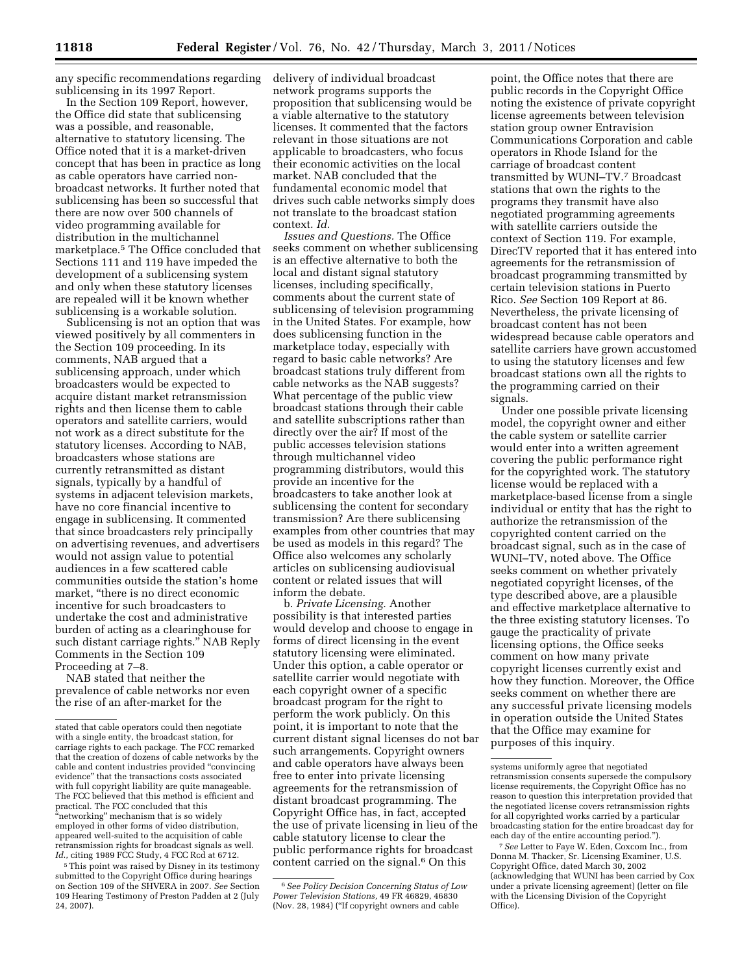any specific recommendations regarding sublicensing in its 1997 Report.

In the Section 109 Report, however, the Office did state that sublicensing was a possible, and reasonable, alternative to statutory licensing. The Office noted that it is a market-driven concept that has been in practice as long as cable operators have carried nonbroadcast networks. It further noted that sublicensing has been so successful that there are now over 500 channels of video programming available for distribution in the multichannel marketplace.5 The Office concluded that Sections 111 and 119 have impeded the development of a sublicensing system and only when these statutory licenses are repealed will it be known whether sublicensing is a workable solution.

Sublicensing is not an option that was viewed positively by all commenters in the Section 109 proceeding. In its comments, NAB argued that a sublicensing approach, under which broadcasters would be expected to acquire distant market retransmission rights and then license them to cable operators and satellite carriers, would not work as a direct substitute for the statutory licenses. According to NAB, broadcasters whose stations are currently retransmitted as distant signals, typically by a handful of systems in adjacent television markets, have no core financial incentive to engage in sublicensing. It commented that since broadcasters rely principally on advertising revenues, and advertisers would not assign value to potential audiences in a few scattered cable communities outside the station's home market, "there is no direct economic incentive for such broadcasters to undertake the cost and administrative burden of acting as a clearinghouse for such distant carriage rights.'' NAB Reply Comments in the Section 109 Proceeding at 7–8.

NAB stated that neither the prevalence of cable networks nor even the rise of an after-market for the

5This point was raised by Disney in its testimony submitted to the Copyright Office during hearings on Section 109 of the SHVERA in 2007. *See* Section 109 Hearing Testimony of Preston Padden at 2 (July 24, 2007).

delivery of individual broadcast network programs supports the proposition that sublicensing would be a viable alternative to the statutory licenses. It commented that the factors relevant in those situations are not applicable to broadcasters, who focus their economic activities on the local market. NAB concluded that the fundamental economic model that drives such cable networks simply does not translate to the broadcast station context. *Id.* 

*Issues and Questions.* The Office seeks comment on whether sublicensing is an effective alternative to both the local and distant signal statutory licenses, including specifically, comments about the current state of sublicensing of television programming in the United States. For example, how does sublicensing function in the marketplace today, especially with regard to basic cable networks? Are broadcast stations truly different from cable networks as the NAB suggests? What percentage of the public view broadcast stations through their cable and satellite subscriptions rather than directly over the air? If most of the public accesses television stations through multichannel video programming distributors, would this provide an incentive for the broadcasters to take another look at sublicensing the content for secondary transmission? Are there sublicensing examples from other countries that may be used as models in this regard? The Office also welcomes any scholarly articles on sublicensing audiovisual content or related issues that will inform the debate.

b. *Private Licensing.* Another possibility is that interested parties would develop and choose to engage in forms of direct licensing in the event statutory licensing were eliminated. Under this option, a cable operator or satellite carrier would negotiate with each copyright owner of a specific broadcast program for the right to perform the work publicly. On this point, it is important to note that the current distant signal licenses do not bar such arrangements. Copyright owners and cable operators have always been free to enter into private licensing agreements for the retransmission of distant broadcast programming. The Copyright Office has, in fact, accepted the use of private licensing in lieu of the cable statutory license to clear the public performance rights for broadcast content carried on the signal.6 On this

point, the Office notes that there are public records in the Copyright Office noting the existence of private copyright license agreements between television station group owner Entravision Communications Corporation and cable operators in Rhode Island for the carriage of broadcast content transmitted by WUNI–TV.7 Broadcast stations that own the rights to the programs they transmit have also negotiated programming agreements with satellite carriers outside the context of Section 119. For example, DirecTV reported that it has entered into agreements for the retransmission of broadcast programming transmitted by certain television stations in Puerto Rico. *See* Section 109 Report at 86. Nevertheless, the private licensing of broadcast content has not been widespread because cable operators and satellite carriers have grown accustomed to using the statutory licenses and few broadcast stations own all the rights to the programming carried on their signals.

Under one possible private licensing model, the copyright owner and either the cable system or satellite carrier would enter into a written agreement covering the public performance right for the copyrighted work. The statutory license would be replaced with a marketplace-based license from a single individual or entity that has the right to authorize the retransmission of the copyrighted content carried on the broadcast signal, such as in the case of WUNI–TV, noted above. The Office seeks comment on whether privately negotiated copyright licenses, of the type described above, are a plausible and effective marketplace alternative to the three existing statutory licenses. To gauge the practicality of private licensing options, the Office seeks comment on how many private copyright licenses currently exist and how they function. Moreover, the Office seeks comment on whether there are any successful private licensing models in operation outside the United States that the Office may examine for purposes of this inquiry.

stated that cable operators could then negotiate with a single entity, the broadcast station, for carriage rights to each package. The FCC remarked that the creation of dozens of cable networks by the cable and content industries provided ''convincing evidence'' that the transactions costs associated with full copyright liability are quite manageable. The FCC believed that this method is efficient and practical. The FCC concluded that this "networking" mechanism that is so widely employed in other forms of video distribution, appeared well-suited to the acquisition of cable retransmission rights for broadcast signals as well. *Id.,* citing 1989 FCC Study, 4 FCC Rcd at 6712.

<sup>6</sup>*See Policy Decision Concerning Status of Low Power Television Stations,* 49 FR 46829, 46830 (Nov. 28, 1984) (''If copyright owners and cable

systems uniformly agree that negotiated retransmission consents supersede the compulsory license requirements, the Copyright Office has no reason to question this interpretation provided that the negotiated license covers retransmission rights for all copyrighted works carried by a particular broadcasting station for the entire broadcast day for each day of the entire accounting period.'').

<sup>7</sup>*See* Letter to Faye W. Eden, Coxcom Inc., from Donna M. Thacker, Sr. Licensing Examiner, U.S. Copyright Office, dated March 30, 2002 (acknowledging that WUNI has been carried by Cox under a private licensing agreement) (letter on file with the Licensing Division of the Copyright Office).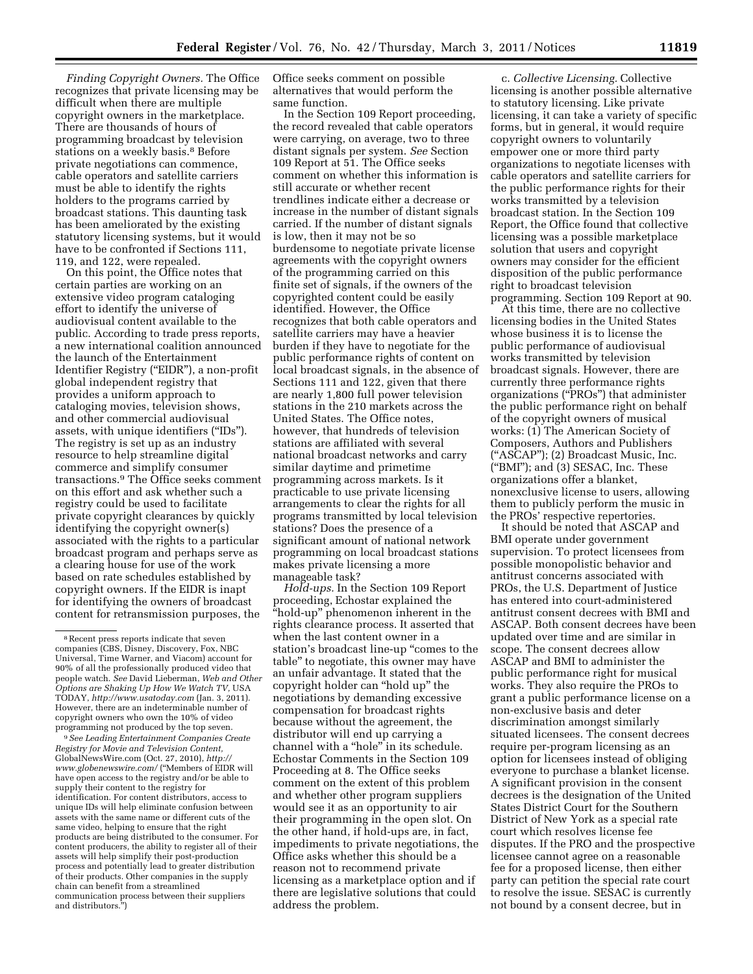*Finding Copyright Owners.* The Office recognizes that private licensing may be difficult when there are multiple copyright owners in the marketplace. There are thousands of hours of programming broadcast by television stations on a weekly basis.<sup>8</sup> Before private negotiations can commence, cable operators and satellite carriers must be able to identify the rights holders to the programs carried by broadcast stations. This daunting task has been ameliorated by the existing statutory licensing systems, but it would have to be confronted if Sections 111, 119, and 122, were repealed.

On this point, the Office notes that certain parties are working on an extensive video program cataloging effort to identify the universe of audiovisual content available to the public. According to trade press reports, a new international coalition announced the launch of the Entertainment Identifier Registry ("EIDR"), a non-profit global independent registry that provides a uniform approach to cataloging movies, television shows, and other commercial audiovisual assets, with unique identifiers (''IDs''). The registry is set up as an industry resource to help streamline digital commerce and simplify consumer transactions.9 The Office seeks comment on this effort and ask whether such a registry could be used to facilitate private copyright clearances by quickly identifying the copyright owner(s) associated with the rights to a particular broadcast program and perhaps serve as a clearing house for use of the work based on rate schedules established by copyright owners. If the EIDR is inapt for identifying the owners of broadcast content for retransmission purposes, the

9*See Leading Entertainment Companies Create Registry for Movie and Television Content,*  GlobalNewsWire.com (Oct. 27, 2010), *[http://](http://www.globenewswire.com/) [www.globenewswire.com/](http://www.globenewswire.com/)* (''Members of EIDR will have open access to the registry and/or be able to supply their content to the registry for identification. For content distributors, access to unique IDs will help eliminate confusion between assets with the same name or different cuts of the same video, helping to ensure that the right products are being distributed to the consumer. For content producers, the ability to register all of their assets will help simplify their post-production process and potentially lead to greater distribution of their products. Other companies in the supply chain can benefit from a streamlined communication process between their suppliers and distributors.'')

Office seeks comment on possible alternatives that would perform the same function.

In the Section 109 Report proceeding, the record revealed that cable operators were carrying, on average, two to three distant signals per system. *See* Section 109 Report at 51. The Office seeks comment on whether this information is still accurate or whether recent trendlines indicate either a decrease or increase in the number of distant signals carried. If the number of distant signals is low, then it may not be so burdensome to negotiate private license agreements with the copyright owners of the programming carried on this finite set of signals, if the owners of the copyrighted content could be easily identified. However, the Office recognizes that both cable operators and satellite carriers may have a heavier burden if they have to negotiate for the public performance rights of content on local broadcast signals, in the absence of Sections 111 and 122, given that there are nearly 1,800 full power television stations in the 210 markets across the United States. The Office notes, however, that hundreds of television stations are affiliated with several national broadcast networks and carry similar daytime and primetime programming across markets. Is it practicable to use private licensing arrangements to clear the rights for all programs transmitted by local television stations? Does the presence of a significant amount of national network programming on local broadcast stations makes private licensing a more manageable task?

*Hold-ups.* In the Section 109 Report proceeding, Echostar explained the ''hold-up'' phenomenon inherent in the rights clearance process. It asserted that when the last content owner in a station's broadcast line-up "comes to the table'' to negotiate, this owner may have an unfair advantage. It stated that the copyright holder can ''hold up'' the negotiations by demanding excessive compensation for broadcast rights because without the agreement, the distributor will end up carrying a channel with a ''hole'' in its schedule. Echostar Comments in the Section 109 Proceeding at 8. The Office seeks comment on the extent of this problem and whether other program suppliers would see it as an opportunity to air their programming in the open slot. On the other hand, if hold-ups are, in fact, impediments to private negotiations, the Office asks whether this should be a reason not to recommend private licensing as a marketplace option and if there are legislative solutions that could address the problem.

c. *Collective Licensing.* Collective licensing is another possible alternative to statutory licensing. Like private licensing, it can take a variety of specific forms, but in general, it would require copyright owners to voluntarily empower one or more third party organizations to negotiate licenses with cable operators and satellite carriers for the public performance rights for their works transmitted by a television broadcast station. In the Section 109 Report, the Office found that collective licensing was a possible marketplace solution that users and copyright owners may consider for the efficient disposition of the public performance right to broadcast television programming. Section 109 Report at 90.

At this time, there are no collective licensing bodies in the United States whose business it is to license the public performance of audiovisual works transmitted by television broadcast signals. However, there are currently three performance rights organizations (''PROs'') that administer the public performance right on behalf of the copyright owners of musical works: (1) The American Society of Composers, Authors and Publishers (''ASCAP''); (2) Broadcast Music, Inc. (''BMI''); and (3) SESAC, Inc. These organizations offer a blanket, nonexclusive license to users, allowing them to publicly perform the music in the PROs' respective repertories.

It should be noted that ASCAP and BMI operate under government supervision. To protect licensees from possible monopolistic behavior and antitrust concerns associated with PROs, the U.S. Department of Justice has entered into court-administered antitrust consent decrees with BMI and ASCAP. Both consent decrees have been updated over time and are similar in scope. The consent decrees allow ASCAP and BMI to administer the public performance right for musical works. They also require the PROs to grant a public performance license on a non-exclusive basis and deter discrimination amongst similarly situated licensees. The consent decrees require per-program licensing as an option for licensees instead of obliging everyone to purchase a blanket license. A significant provision in the consent decrees is the designation of the United States District Court for the Southern District of New York as a special rate court which resolves license fee disputes. If the PRO and the prospective licensee cannot agree on a reasonable fee for a proposed license, then either party can petition the special rate court to resolve the issue. SESAC is currently not bound by a consent decree, but in

<sup>8</sup>Recent press reports indicate that seven companies (CBS, Disney, Discovery, Fox, NBC Universal, Time Warner, and Viacom) account for 90% of all the professionally produced video that people watch. *See* David Lieberman, *Web and Other Options are Shaking Up How We Watch TV,* USA TODAY, *<http://www.usatoday.com>*(Jan. 3, 2011). However, there are an indeterminable number of copyright owners who own the 10% of video programming not produced by the top seven.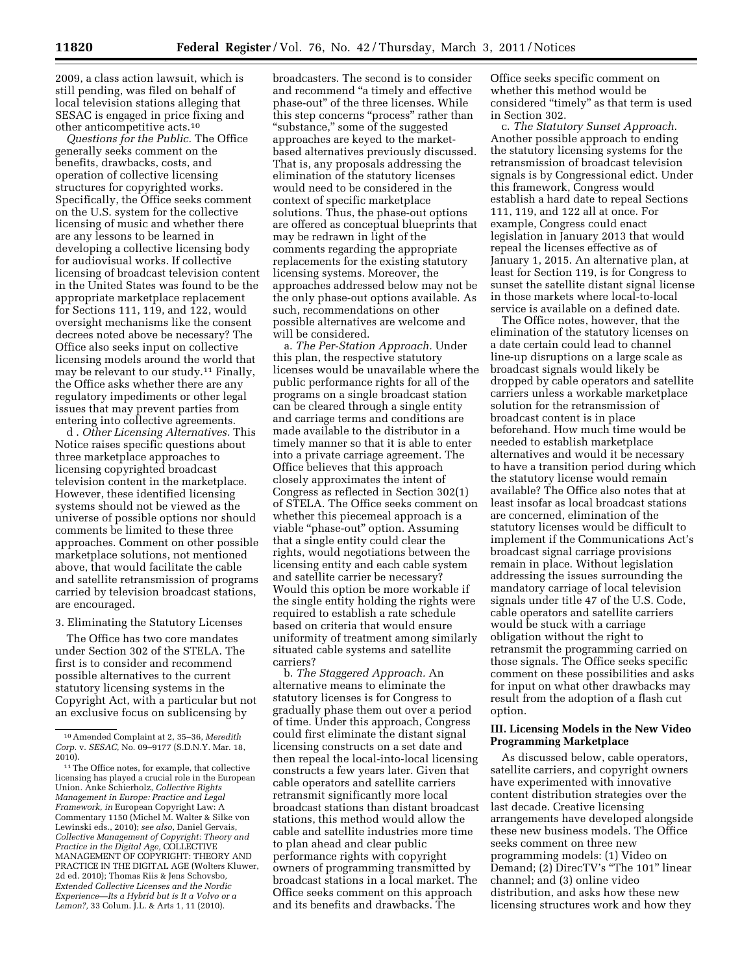2009, a class action lawsuit, which is still pending, was filed on behalf of local television stations alleging that SESAC is engaged in price fixing and other anticompetitive acts.10

*Questions for the Public.* The Office generally seeks comment on the benefits, drawbacks, costs, and operation of collective licensing structures for copyrighted works. Specifically, the Office seeks comment on the U.S. system for the collective licensing of music and whether there are any lessons to be learned in developing a collective licensing body for audiovisual works. If collective licensing of broadcast television content in the United States was found to be the appropriate marketplace replacement for Sections 111, 119, and 122, would oversight mechanisms like the consent decrees noted above be necessary? The Office also seeks input on collective licensing models around the world that may be relevant to our study.11 Finally, the Office asks whether there are any regulatory impediments or other legal issues that may prevent parties from entering into collective agreements.

d . *Other Licensing Alternatives.* This Notice raises specific questions about three marketplace approaches to licensing copyrighted broadcast television content in the marketplace. However, these identified licensing systems should not be viewed as the universe of possible options nor should comments be limited to these three approaches. Comment on other possible marketplace solutions, not mentioned above, that would facilitate the cable and satellite retransmission of programs carried by television broadcast stations, are encouraged.

#### 3. Eliminating the Statutory Licenses

The Office has two core mandates under Section 302 of the STELA. The first is to consider and recommend possible alternatives to the current statutory licensing systems in the Copyright Act, with a particular but not an exclusive focus on sublicensing by

broadcasters. The second is to consider and recommend ''a timely and effective phase-out'' of the three licenses. While this step concerns "process" rather than "substance," some of the suggested approaches are keyed to the marketbased alternatives previously discussed. That is, any proposals addressing the elimination of the statutory licenses would need to be considered in the context of specific marketplace solutions. Thus, the phase-out options are offered as conceptual blueprints that may be redrawn in light of the comments regarding the appropriate replacements for the existing statutory licensing systems. Moreover, the approaches addressed below may not be the only phase-out options available. As such, recommendations on other possible alternatives are welcome and will be considered.

a. *The Per-Station Approach.* Under this plan, the respective statutory licenses would be unavailable where the public performance rights for all of the programs on a single broadcast station can be cleared through a single entity and carriage terms and conditions are made available to the distributor in a timely manner so that it is able to enter into a private carriage agreement. The Office believes that this approach closely approximates the intent of Congress as reflected in Section 302(1) of STELA. The Office seeks comment on whether this piecemeal approach is a viable "phase-out" option. Assuming that a single entity could clear the rights, would negotiations between the licensing entity and each cable system and satellite carrier be necessary? Would this option be more workable if the single entity holding the rights were required to establish a rate schedule based on criteria that would ensure uniformity of treatment among similarly situated cable systems and satellite carriers?

b. *The Staggered Approach.* An alternative means to eliminate the statutory licenses is for Congress to gradually phase them out over a period of time. Under this approach, Congress could first eliminate the distant signal licensing constructs on a set date and then repeal the local-into-local licensing constructs a few years later. Given that cable operators and satellite carriers retransmit significantly more local broadcast stations than distant broadcast stations, this method would allow the cable and satellite industries more time to plan ahead and clear public performance rights with copyright owners of programming transmitted by broadcast stations in a local market. The Office seeks comment on this approach and its benefits and drawbacks. The

Office seeks specific comment on whether this method would be considered ''timely'' as that term is used in Section 302.

c. *The Statutory Sunset Approach.*  Another possible approach to ending the statutory licensing systems for the retransmission of broadcast television signals is by Congressional edict. Under this framework, Congress would establish a hard date to repeal Sections 111, 119, and 122 all at once. For example, Congress could enact legislation in January 2013 that would repeal the licenses effective as of January 1, 2015. An alternative plan, at least for Section 119, is for Congress to sunset the satellite distant signal license in those markets where local-to-local service is available on a defined date.

The Office notes, however, that the elimination of the statutory licenses on a date certain could lead to channel line-up disruptions on a large scale as broadcast signals would likely be dropped by cable operators and satellite carriers unless a workable marketplace solution for the retransmission of broadcast content is in place beforehand. How much time would be needed to establish marketplace alternatives and would it be necessary to have a transition period during which the statutory license would remain available? The Office also notes that at least insofar as local broadcast stations are concerned, elimination of the statutory licenses would be difficult to implement if the Communications Act's broadcast signal carriage provisions remain in place. Without legislation addressing the issues surrounding the mandatory carriage of local television signals under title 47 of the U.S. Code, cable operators and satellite carriers would be stuck with a carriage obligation without the right to retransmit the programming carried on those signals. The Office seeks specific comment on these possibilities and asks for input on what other drawbacks may result from the adoption of a flash cut option.

## **III. Licensing Models in the New Video Programming Marketplace**

As discussed below, cable operators, satellite carriers, and copyright owners have experimented with innovative content distribution strategies over the last decade. Creative licensing arrangements have developed alongside these new business models. The Office seeks comment on three new programming models: (1) Video on Demand; (2) DirecTV's "The 101" linear channel; and (3) online video distribution, and asks how these new licensing structures work and how they

<sup>10</sup>Amended Complaint at 2, 35–36, *Meredith Corp.* v. *SESAC,* No. 09–9177 (S.D.N.Y. Mar. 18, 2010).

<sup>11</sup>The Office notes, for example, that collective licensing has played a crucial role in the European Union. Anke Schierholz, *Collective Rights Management in Europe: Practice and Legal Framework, in* European Copyright Law: A Commentary 1150 (Michel M. Walter & Silke von Lewinski eds., 2010); *see also,* Daniel Gervais, *Collective Management of Copyright: Theory and Practice in the Digital Age,* COLLECTIVE MANAGEMENT OF COPYRIGHT: THEORY AND PRACTICE IN THE DIGITAL AGE (Wolters Kluwer, 2d ed. 2010); Thomas Riis & Jens Schovsbo*, Extended Collective Licenses and the Nordic Experience—Its a Hybrid but is It a Volvo or a Lemon?,* 33 Colum. J.L. & Arts 1, 11 (2010).